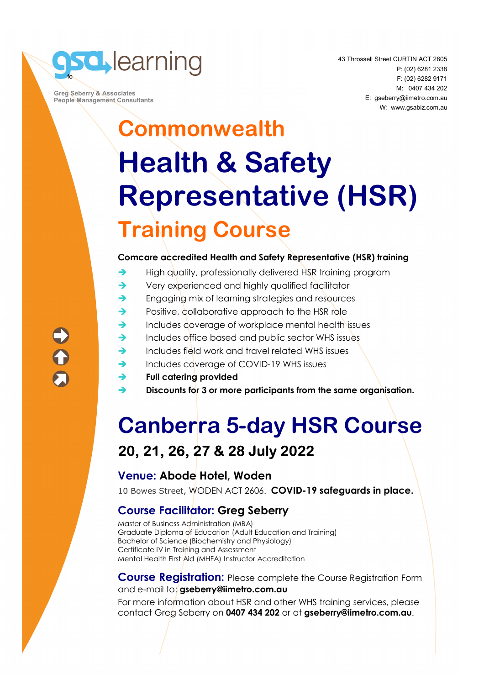

 **Greg Seberry & Associates People Management Consultants**  43 Throssell Street CURTIN ACT 2605 P: (02) 6281 2338 F: (02) 6282 9171 M: 0407 434 202 E: gseberry@iimetro.com.au W: www.gsabiz.com.au

## **Commonwealth Health & Safety Representative (HSR) Training Course**

#### **Comcare accredited Health and Safety Representative (HSR) training**

- $\rightarrow$  High quality, professionally delivered HSR training program
- ◆ Very experienced and highly qualified facilitator
- **Engaging mix of learning strategies and resources**
- Positive, collaborative approach to the HSR role
- $\rightarrow$  Includes coverage of workplace mental health issues
- Includes office based and public sector WHS issues
- $\rightarrow$  Includes field work and travel related WHS issues
- Includes coverage of COVID-19 WHS issues
- **Full catering provided**
- **Discounts for 3 or more participants from the same organisation.**

### **Canberra 5-day HSR Course 20, 21, 26, 27 & 28 July 2022**

#### **Venue: Abode Hotel, Woden**

10 Bowes Street, WODEN ACT 2606. **COVID-19 safeguards in place.**

#### **Course Facilitator: Greg Seberry**

Master of Business Administration (MBA) Graduate Diploma of Education (Adult Education and Training) Bachelor of Science (Biochemistry and Physiology) Certificate IV in Training and Assessment Mental Health First Aid (MHFA) Instructor Accreditation

#### **Course Registration:** Please complete the Course Registration Form and e-mail to: **gseberry@iimetro.com.au**

For more information about HSR and other WHS training services, please contact Greg Seberry on **0407 434 202** or at **gseberry@iimetro.com.au**.